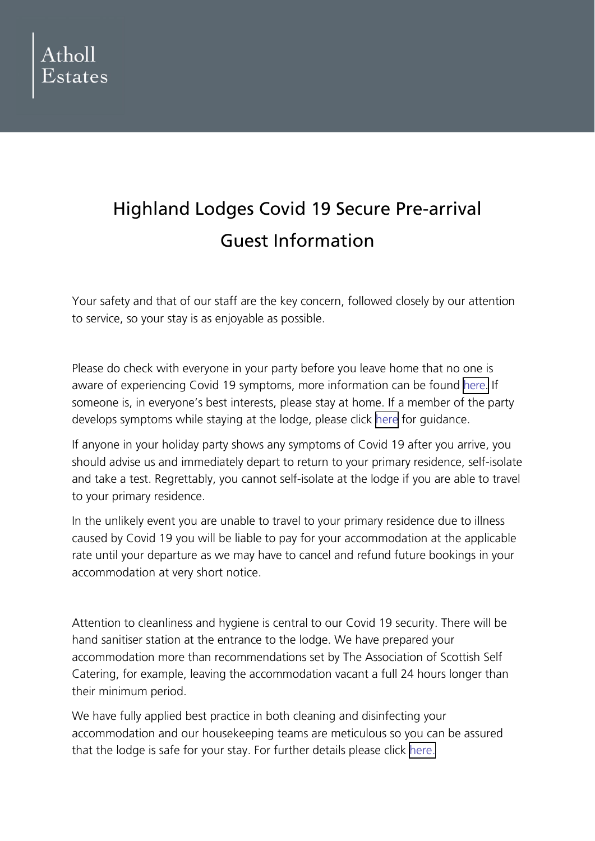

## Highland Lodges Covid 19 Secure Pre-arrival Guest Information

Your safety and that of our staff are the key concern, followed closely by our attention to service, so your stay is as enjoyable as possible.

Please do check with everyone in your party before you leave home that no one is aware of experiencing Covid 19 symptoms, more information can be found [here.](https://www.gov.uk/guidance/covid-19-advice-for-accommodation-providers#people-staying-in-accommodation-that-have-symptoms-of-covid-19) If someone is, in everyone's best interests, please stay at home. If a member of the party develops symptoms while staying at the lodge, please click [here](https://www.nhs.uk/conditions/coronavirus-covid-19/symptoms/) for guidance.

If anyone in your holiday party shows any symptoms of Covid 19 after you arrive, you should advise us and immediately depart to return to your primary residence, self-isolate and take a test. Regrettably, you cannot self-isolate at the lodge if you are able to travel to your primary residence.

In the unlikely event you are unable to travel to your primary residence due to illness caused by Covid 19 you will be liable to pay for your accommodation at the applicable rate until your departure as we may have to cancel and refund future bookings in your accommodation at very short notice.

Attention to cleanliness and hygiene is central to our Covid 19 security. There will be hand sanitiser station at the entrance to the lodge. We have prepared your accommodation more than recommendations set by The Association of Scottish Self Catering, for example, leaving the accommodation vacant a full 24 hours longer than their minimum period.

We have fully applied best practice in both cleaning and disinfecting your accommodation and our housekeeping teams are meticulous so you can be assured that the lodge is safe for your stay. For further details please click [here.](https://www.assc.co.uk/cleaning-protocols-for-self-catering-properties-in-the-context-of-covid-1/)